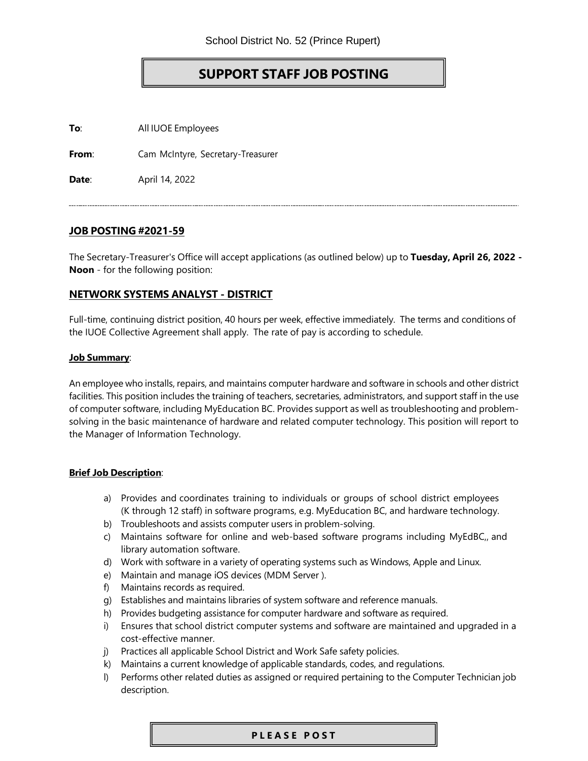# **SUPPORT STAFF JOB POSTING**

**To**: All IUOE Employees

**From**: Cam McIntyre, Secretary-Treasurer

**Date**: April 14, 2022

## **JOB POSTING #2021-59**

The Secretary-Treasurer's Office will accept applications (as outlined below) up to **Tuesday, April 26, 2022 - Noon** - for the following position:

## **NETWORK SYSTEMS ANALYST - DISTRICT**

Full-time, continuing district position, 40 hours per week, effective immediately. The terms and conditions of the IUOE Collective Agreement shall apply. The rate of pay is according to schedule.

#### **Job Summary**:

An employee who installs, repairs, and maintains computer hardware and software in schools and other district facilities. This position includes the training of teachers, secretaries, administrators, and support staff in the use of computer software, including MyEducation BC. Provides support as well as troubleshooting and problemsolving in the basic maintenance of hardware and related computer technology. This position will report to the Manager of Information Technology.

### **Brief Job Description**:

- a) Provides and coordinates training to individuals or groups of school district employees (K through 12 staff) in software programs, e.g. MyEducation BC, and hardware technology.
- b) Troubleshoots and assists computer users in problem-solving.
- c) Maintains software for online and web-based software programs including MyEdBC,, and library automation software.
- d) Work with software in a variety of operating systems such as Windows, Apple and Linux.
- e) Maintain and manage iOS devices (MDM Server ).
- f) Maintains records as required.
- g) Establishes and maintains libraries of system software and reference manuals.
- h) Provides budgeting assistance for computer hardware and software as required.
- i) Ensures that school district computer systems and software are maintained and upgraded in a cost-effective manner.
- j) Practices all applicable School District and Work Safe safety policies.
- k) Maintains a current knowledge of applicable standards, codes, and regulations.
- l) Performs other related duties as assigned or required pertaining to the Computer Technician job description.

#### **P L E A S E P O S T**